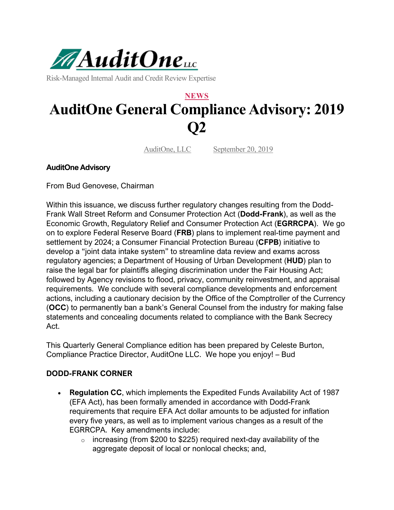

Risk-Managed Internal Audit and Credit Review Expertise

# **NEWS AuditOne General Compliance Advisory: 2019 Q2**

AuditOne, LLC September 20, 2019

## **AuditOne Advisory**

From Bud Genovese, Chairman

Within this issuance, we discuss further regulatory changes resulting from the Dodd-Frank Wall Street Reform and Consumer Protection Act (**Dodd-Frank**), as well as the Economic Growth, Regulatory Relief and Consumer Protection Act (**EGRRCPA**). We go on to explore Federal Reserve Board (**FRB**) plans to implement real-time payment and settlement by 2024; a Consumer Financial Protection Bureau (**CFPB**) initiative to develop a "joint data intake system" to streamline data review and exams across regulatory agencies; a Department of Housing of Urban Development (**HUD**) plan to raise the legal bar for plaintiffs alleging discrimination under the Fair Housing Act; followed by Agency revisions to flood, privacy, community reinvestment, and appraisal requirements. We conclude with several compliance developments and enforcement actions, including a cautionary decision by the Office of the Comptroller of the Currency (**OCC**) to permanently ban a bank's General Counsel from the industry for making false statements and concealing documents related to compliance with the Bank Secrecy Act.

This Quarterly General Compliance edition has been prepared by Celeste Burton, Compliance Practice Director, AuditOne LLC. We hope you enjoy! – Bud

## **DODD-FRANK CORNER**

- **Regulation CC**, which implements the Expedited Funds Availability Act of 1987 (EFA Act), has been formally amended in accordance with Dodd-Frank requirements that require EFA Act dollar amounts to be adjusted for inflation every five years, as well as to implement various changes as a result of the EGRRCPA. Key amendments include:
	- $\circ$  increasing (from \$200 to \$225) required next-day availability of the aggregate deposit of local or nonlocal checks; and,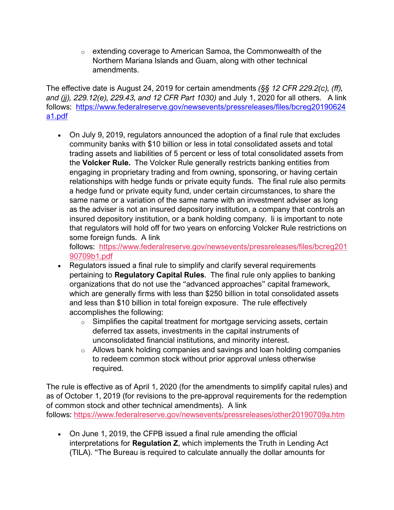o extending coverage to American Samoa, the Commonwealth of the Northern Mariana Islands and Guam, along with other technical amendments.

The effective date is August 24, 2019 for certain amendments *(§§ 12 CFR 229.2(c), (ff), and (jj), 229.12(e), 229.43, and 12 CFR Part 1030)* and July 1, 2020 for all others. A link follows: [https://www.federalreserve.gov/newsevents/pressreleases/files/bcreg20190624](https://www.federalreserve.gov/newsevents/pressreleases/files/bcreg20190624a1.pdf) [a1.pdf](https://www.federalreserve.gov/newsevents/pressreleases/files/bcreg20190624a1.pdf)

• On July 9, 2019, regulators announced the adoption of a final rule that excludes community banks with \$10 billion or less in total consolidated assets and total trading assets and liabilities of 5 percent or less of total consolidated assets from the **Volcker Rule.** The Volcker Rule generally restricts banking entities from engaging in proprietary trading and from owning, sponsoring, or having certain relationships with hedge funds or private equity funds. The final rule also permits a hedge fund or private equity fund, under certain circumstances, to share the same name or a variation of the same name with an investment adviser as long as the adviser is not an insured depository institution, a company that controls an insured depository institution, or a bank holding company. Ii is important to note that regulators will hold off for two years on enforcing Volcker Rule restrictions on some foreign funds. A link

follows: [https://www.federalreserve.gov/newsevents/pressreleases/files/bcreg201](https://www.federalreserve.gov/newsevents/pressreleases/files/bcreg20190709b1.pdf) [90709b1.pdf](https://www.federalreserve.gov/newsevents/pressreleases/files/bcreg20190709b1.pdf)

- Regulators issued a final rule to simplify and clarify several requirements pertaining to **Regulatory Capital Rules**. The final rule only applies to banking organizations that do not use the "advanced approaches" capital framework, which are generally firms with less than \$250 billion in total consolidated assets and less than \$10 billion in total foreign exposure. The rule effectively accomplishes the following:
	- $\circ$  Simplifies the capital treatment for mortgage servicing assets, certain deferred tax assets, investments in the capital instruments of unconsolidated financial institutions, and minority interest.
	- o Allows bank holding companies and savings and loan holding companies to redeem common stock without prior approval unless otherwise required.

The rule is effective as of April 1, 2020 (for the amendments to simplify capital rules) and as of October 1, 2019 (for revisions to the pre-approval requirements for the redemption of common stock and other technical amendments). A link follows: <https://www.federalreserve.gov/newsevents/pressreleases/other20190709a.htm>

• On June 1, 2019, the CFPB issued a final rule amending the official interpretations for **Regulation Z**, which implements the Truth in Lending Act (TILA). "The Bureau is required to calculate annually the dollar amounts for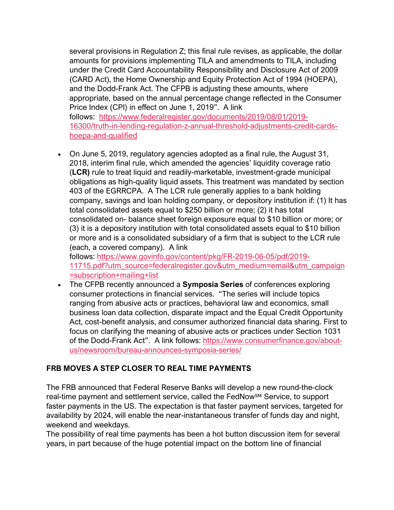several provisions in Regulation Z; this final rule revises, as applicable, the dollar amounts for provisions implementing TILA and amendments to TILA, including under the Credit Card Accountability Responsibility and Disclosure Act of 2009 (CARD Act), the Home Ownership and Equity Protection Act of 1994 (HOEPA), and the Dodd-Frank Act. The CFPB is adjusting these amounts, where appropriate, based on the annual percentage change reflected in the Consumer Price Index (CPI) in effect on June 1, 2019". A link follows: [https://www.federalregister.gov/documents/2019/08/01/2019-](https://www.federalregister.gov/documents/2019/08/01/2019-16300/truth-in-lending-regulation-z-annual-threshold-adjustments-credit-cards-hoepa-and-qualified) [16300/truth-in-lending-regulation-z-annual-threshold-adjustments-credit-cards](https://www.federalregister.gov/documents/2019/08/01/2019-16300/truth-in-lending-regulation-z-annual-threshold-adjustments-credit-cards-hoepa-and-qualified)[hoepa-and-qualified](https://www.federalregister.gov/documents/2019/08/01/2019-16300/truth-in-lending-regulation-z-annual-threshold-adjustments-credit-cards-hoepa-and-qualified)

• On June 5, 2019, regulatory agencies adopted as a final rule, the August 31, 2018, interim final rule, which amended the agencies' liquidity coverage ratio (**LCR)** rule to treat liquid and readily-marketable, investment-grade municipal obligations as high-quality liquid assets. This treatment was mandated by section 403 of the EGRRCPA. A The LCR rule generally applies to a bank holding company, savings and loan holding company, or depository institution if: (1) It has total consolidated assets equal to \$250 billion or more; (2) it has total consolidated on- balance sheet foreign exposure equal to \$10 billion or more; or (3) it is a depository institution with total consolidated assets equal to \$10 billion or more and is a consolidated subsidiary of a firm that is subject to the LCR rule (each, a covered company). A link follows: [https://www.govinfo.gov/content/pkg/FR-2019-06-05/pdf/2019-](https://www.govinfo.gov/content/pkg/FR-2019-06-05/pdf/2019-11715.pdf?utm_source=federalregister.gov&utm_medium=email&utm_campaign=subscription+mailing+list)

[11715.pdf?utm\\_source=federalregister.gov&utm\\_medium=email&utm\\_campaign](https://www.govinfo.gov/content/pkg/FR-2019-06-05/pdf/2019-11715.pdf?utm_source=federalregister.gov&utm_medium=email&utm_campaign=subscription+mailing+list) [=subscription+mailing+list](https://www.govinfo.gov/content/pkg/FR-2019-06-05/pdf/2019-11715.pdf?utm_source=federalregister.gov&utm_medium=email&utm_campaign=subscription+mailing+list)

• The CFPB recently announced a **Symposia Series** of conferences exploring consumer protections in financial services. "The series will include topics ranging from abusive acts or practices, behavioral law and economics, small business loan data collection, disparate impact and the Equal Credit Opportunity Act, cost-benefit analysis, and consumer authorized financial data sharing. First to focus on clarifying the meaning of abusive acts or practices under Section 1031 of the Dodd-Frank Act". A link follows: [https://www.consumerfinance.gov/about](https://www.consumerfinance.gov/about-us/newsroom/bureau-announces-symposia-series/)[us/newsroom/bureau-announces-symposia-series/](https://www.consumerfinance.gov/about-us/newsroom/bureau-announces-symposia-series/)

# **FRB MOVES A STEP CLOSER TO REAL TIME PAYMENTS**

The FRB announced that Federal Reserve Banks will develop a new round-the-clock real-time payment and settlement service, called the FedNow<sup>™</sup> Service, to support faster payments in the US. The expectation is that faster payment services, targeted for availability by 2024, will enable the near-instantaneous transfer of funds day and night, weekend and weekdays.

The possibility of real time payments has been a hot button discussion item for several years, in part because of the huge potential impact on the bottom line of financial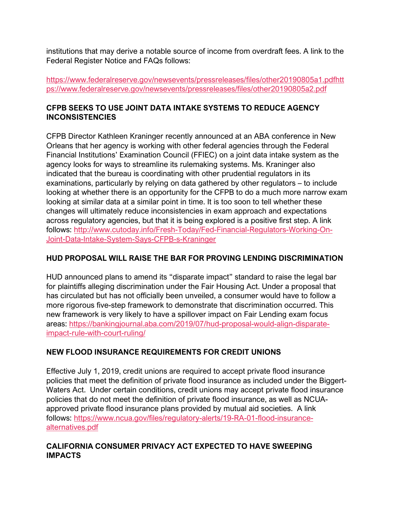institutions that may derive a notable source of income from overdraft fees. A link to the Federal Register Notice and FAQs follows:

[https://www.federalreserve.gov/newsevents/pressreleases/files/other20190805a1.pdfhtt](https://www.federalreserve.gov/newsevents/pressreleases/files/other20190805a1.pdfhttps:/www.federalreserve.gov/newsevents/pressreleases/files/other20190805a2.pdf) [ps://www.federalreserve.gov/newsevents/pressreleases/files/other20190805a2.pdf](https://www.federalreserve.gov/newsevents/pressreleases/files/other20190805a1.pdfhttps:/www.federalreserve.gov/newsevents/pressreleases/files/other20190805a2.pdf)

# **CFPB SEEKS TO USE JOINT DATA INTAKE SYSTEMS TO REDUCE AGENCY INCONSISTENCIES**

CFPB Director Kathleen Kraninger recently announced at an ABA conference in New Orleans that her agency is working with other federal agencies through the Federal Financial Institutions' Examination Council (FFIEC) on a joint data intake system as the agency looks for ways to streamline its rulemaking systems. Ms. Kraninger also indicated that the bureau is coordinating with other prudential regulators in its examinations, particularly by relying on data gathered by other regulators – to include looking at whether there is an opportunity for the CFPB to do a much more narrow exam looking at similar data at a similar point in time. It is too soon to tell whether these changes will ultimately reduce inconsistencies in exam approach and expectations across regulatory agencies, but that it is being explored is a positive first step. A link follows: [http://www.cutoday.info/Fresh-Today/Fed-Financial-Regulators-Working-On-](http://www.cutoday.info/Fresh-Today/Fed-Financial-Regulators-Working-On-Joint-Data-Intake-System-Says-CFPB-s-Kraninger)[Joint-Data-Intake-System-Says-CFPB-s-Kraninger](http://www.cutoday.info/Fresh-Today/Fed-Financial-Regulators-Working-On-Joint-Data-Intake-System-Says-CFPB-s-Kraninger)

# **HUD PROPOSAL WILL RAISE THE BAR FOR PROVING LENDING DISCRIMINATION**

HUD announced plans to amend its "disparate impact" standard to raise the legal bar for plaintiffs alleging discrimination under the Fair Housing Act. Under a proposal that has circulated but has not officially been unveiled, a consumer would have to follow a more rigorous five-step framework to demonstrate that discrimination occurred. This new framework is very likely to have a spillover impact on Fair Lending exam focus areas: [https://bankingjournal.aba.com/2019/07/hud-proposal-would-align-disparate](https://bankingjournal.aba.com/2019/07/hud-proposal-would-align-disparate-impact-rule-with-court-ruling/)[impact-rule-with-court-ruling/](https://bankingjournal.aba.com/2019/07/hud-proposal-would-align-disparate-impact-rule-with-court-ruling/)

# **NEW FLOOD INSURANCE REQUIREMENTS FOR CREDIT UNIONS**

Effective July 1, 2019, credit unions are required to accept private flood insurance policies that meet the definition of private flood insurance as included under the Biggert-Waters Act. Under certain conditions, credit unions may accept private flood insurance policies that do not meet the definition of private flood insurance, as well as NCUAapproved private flood insurance plans provided by mutual aid societies. A link follows: [https://www.ncua.gov/files/regulatory-alerts/19-RA-01-flood-insurance](https://www.ncua.gov/files/regulatory-alerts/19-RA-01-flood-insurance-alternatives.pdf)[alternatives.pdf](https://www.ncua.gov/files/regulatory-alerts/19-RA-01-flood-insurance-alternatives.pdf)

# **CALIFORNIA CONSUMER PRIVACY ACT EXPECTED TO HAVE SWEEPING IMPACTS**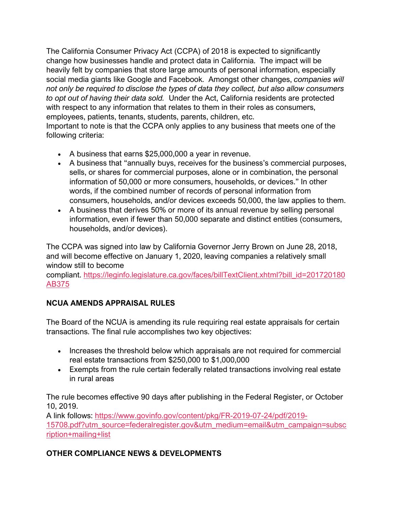The California Consumer Privacy Act (CCPA) of 2018 is expected to significantly change how businesses handle and protect data in California. The impact will be heavily felt by companies that store large amounts of personal information, especially social media giants like Google and Facebook. Amongst other changes, *companies will not only be required to disclose the types of data they collect, but also allow consumers to opt out of having their data sold.* Under the Act, California residents are protected with respect to any information that relates to them in their roles as consumers, employees, patients, tenants, students, parents, children, etc.

Important to note is that the CCPA only applies to any business that meets one of the following criteria:

- A business that earns \$25,000,000 a year in revenue.
- A business that "annually buys, receives for the business's commercial purposes, sells, or shares for commercial purposes, alone or in combination, the personal information of 50,000 or more consumers, households, or devices." In other words, if the combined number of records of personal information from consumers, households, and/or devices exceeds 50,000, the law applies to them.
- A business that derives 50% or more of its annual revenue by selling personal information, even if fewer than 50,000 separate and distinct entities (consumers, households, and/or devices).

The CCPA was signed into law by California Governor Jerry Brown on June 28, 2018, and will become effective on January 1, 2020, leaving companies a relatively small window still to become

compliant. [https://leginfo.legislature.ca.gov/faces/billTextClient.xhtml?bill\\_id=201720180](https://leginfo.legislature.ca.gov/faces/billTextClient.xhtml?bill_id=201720180AB375) [AB375](https://leginfo.legislature.ca.gov/faces/billTextClient.xhtml?bill_id=201720180AB375)

# **NCUA AMENDS APPRAISAL RULES**

The Board of the NCUA is amending its rule requiring real estate appraisals for certain transactions. The final rule accomplishes two key objectives:

- Increases the threshold below which appraisals are not required for commercial real estate transactions from \$250,000 to \$1,000,000
- Exempts from the rule certain federally related transactions involving real estate in rural areas

The rule becomes effective 90 days after publishing in the Federal Register, or October 10, 2019.

A link follows: [https://www.govinfo.gov/content/pkg/FR-2019-07-24/pdf/2019-](https://www.govinfo.gov/content/pkg/FR-2019-07-24/pdf/2019-15708.pdf?utm_source=federalregister.gov&utm_medium=email&utm_campaign=subscription+mailing+list) [15708.pdf?utm\\_source=federalregister.gov&utm\\_medium=email&utm\\_campaign=subsc](https://www.govinfo.gov/content/pkg/FR-2019-07-24/pdf/2019-15708.pdf?utm_source=federalregister.gov&utm_medium=email&utm_campaign=subscription+mailing+list) [ription+mailing+list](https://www.govinfo.gov/content/pkg/FR-2019-07-24/pdf/2019-15708.pdf?utm_source=federalregister.gov&utm_medium=email&utm_campaign=subscription+mailing+list)

# **OTHER COMPLIANCE NEWS & DEVELOPMENTS**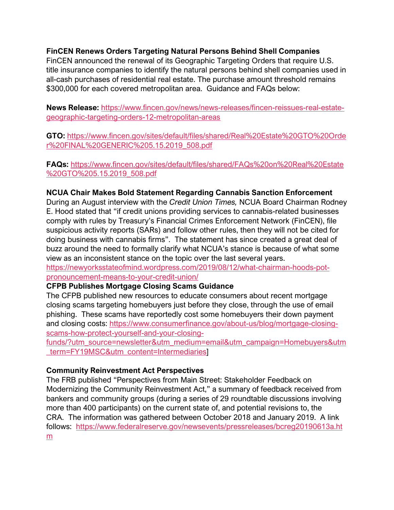## **FinCEN Renews Orders Targeting Natural Persons Behind Shell Companies**

FinCEN announced the renewal of its Geographic Targeting Orders that require U.S. title insurance companies to identify the natural persons behind shell companies used in all-cash purchases of residential real estate. The purchase amount threshold remains \$300,000 for each covered metropolitan area. Guidance and FAQs below:

**News Release:** [https://www.fincen.gov/news/news-releases/fincen-reissues-real-estate](https://www.fincen.gov/news/news-releases/fincen-reissues-real-estate-geographic-targeting-orders-12-metropolitan-areas)[geographic-targeting-orders-12-metropolitan-areas](https://www.fincen.gov/news/news-releases/fincen-reissues-real-estate-geographic-targeting-orders-12-metropolitan-areas) 

**GTO:** [https://www.fincen.gov/sites/default/files/shared/Real%20Estate%20GTO%20Orde](https://www.fincen.gov/sites/default/files/shared/Real%20Estate%20GTO%20Order%20FINAL%20GENERIC%205.15.2019_508.pdf) [r%20FINAL%20GENERIC%205.15.2019\\_508.pdf](https://www.fincen.gov/sites/default/files/shared/Real%20Estate%20GTO%20Order%20FINAL%20GENERIC%205.15.2019_508.pdf)

**FAQs:** [https://www.fincen.gov/sites/default/files/shared/FAQs%20on%20Real%20Estate](https://www.fincen.gov/sites/default/files/shared/FAQs%20on%20Real%20Estate%20GTO%205.15.2019_508.pdf) [%20GTO%205.15.2019\\_508.pdf](https://www.fincen.gov/sites/default/files/shared/FAQs%20on%20Real%20Estate%20GTO%205.15.2019_508.pdf)

## **NCUA Chair Makes Bold Statement Regarding Cannabis Sanction Enforcement**

During an August interview with the *Credit Union Times,* NCUA Board Chairman Rodney E. Hood stated that "if credit unions providing services to cannabis-related businesses comply with rules by Treasury's Financial Crimes Enforcement Network (FinCEN), file suspicious activity reports (SARs) and follow other rules, then they will not be cited for doing business with cannabis firms". The statement has since created a great deal of buzz around the need to formally clarify what NCUA's stance is because of what some view as an inconsistent stance on the topic over the last several years.

[https://newyorksstateofmind.wordpress.com/2019/08/12/what-chairman-hoods-pot](https://newyorksstateofmind.wordpress.com/2019/08/12/what-chairman-hoods-pot-pronouncement-means-to-your-credit-union/)[pronouncement-means-to-your-credit-union/](https://newyorksstateofmind.wordpress.com/2019/08/12/what-chairman-hoods-pot-pronouncement-means-to-your-credit-union/)

#### **CFPB Publishes Mortgage Closing Scams Guidance**

The CFPB published new resources to educate consumers about recent mortgage closing scams targeting homebuyers just before they close, through the use of email phishing. These scams have reportedly cost some homebuyers their down payment and closing costs: [https://www.consumerfinance.gov/about-us/blog/mortgage-closing](https://www.consumerfinance.gov/about-us/blog/mortgage-closing-scams-how-protect-yourself-and-your-closing-funds/?utm_source=newsletter&utm_medium=email&utm_campaign=Homebuyers&utm_term=FY19MSC&utm_content=Intermediaries)[scams-how-protect-yourself-and-your-closing-](https://www.consumerfinance.gov/about-us/blog/mortgage-closing-scams-how-protect-yourself-and-your-closing-funds/?utm_source=newsletter&utm_medium=email&utm_campaign=Homebuyers&utm_term=FY19MSC&utm_content=Intermediaries)

[funds/?utm\\_source=newsletter&utm\\_medium=email&utm\\_campaign=Homebuyers&utm](https://www.consumerfinance.gov/about-us/blog/mortgage-closing-scams-how-protect-yourself-and-your-closing-funds/?utm_source=newsletter&utm_medium=email&utm_campaign=Homebuyers&utm_term=FY19MSC&utm_content=Intermediaries) [\\_term=FY19MSC&utm\\_content=Intermediaries\]](https://www.consumerfinance.gov/about-us/blog/mortgage-closing-scams-how-protect-yourself-and-your-closing-funds/?utm_source=newsletter&utm_medium=email&utm_campaign=Homebuyers&utm_term=FY19MSC&utm_content=Intermediaries)

## **Community Reinvestment Act Perspectives**

The FRB published "Perspectives from Main Street: Stakeholder Feedback on Modernizing the Community Reinvestment Act," a summary of feedback received from bankers and community groups (during a series of 29 roundtable discussions involving more than 400 participants) on the current state of, and potential revisions to, the CRA. The information was gathered between October 2018 and January 2019. A link follows: [https://www.federalreserve.gov/newsevents/pressreleases/bcreg20190613a.ht](https://www.federalreserve.gov/newsevents/pressreleases/bcreg20190613a.htm) [m](https://www.federalreserve.gov/newsevents/pressreleases/bcreg20190613a.htm)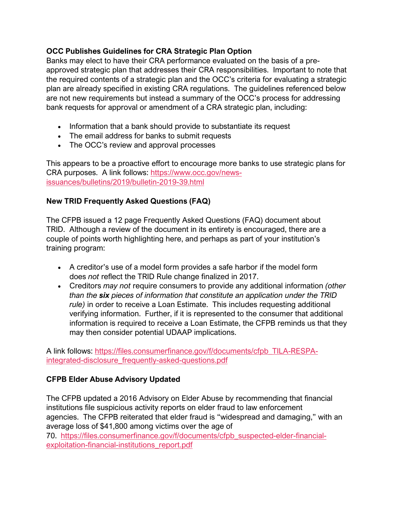# **OCC Publishes Guidelines for CRA Strategic Plan Option**

Banks may elect to have their CRA performance evaluated on the basis of a preapproved strategic plan that addresses their CRA responsibilities. Important to note that the required contents of a strategic plan and the OCC's criteria for evaluating a strategic plan are already specified in existing CRA regulations. The guidelines referenced below are not new requirements but instead a summary of the OCC's process for addressing bank requests for approval or amendment of a CRA strategic plan, including:

- Information that a bank should provide to substantiate its request
- The email address for banks to submit requests
- The OCC's review and approval processes

This appears to be a proactive effort to encourage more banks to use strategic plans for CRA purposes. A link follows: [https://www.occ.gov/news](https://www.occ.gov/news-issuances/bulletins/2019/bulletin-2019-39.html)[issuances/bulletins/2019/bulletin-2019-39.html](https://www.occ.gov/news-issuances/bulletins/2019/bulletin-2019-39.html)

# **New TRID Frequently Asked Questions (FAQ)**

The CFPB issued a 12 page Frequently Asked Questions (FAQ) document about TRID. Although a review of the document in its entirety is encouraged, there are a couple of points worth highlighting here, and perhaps as part of your institution's training program:

- A creditor's use of a model form provides a safe harbor if the model form does *not* reflect the TRID Rule change finalized in 2017.
- Creditors *may not* require consumers to provide any additional information *(other than the six pieces of information that constitute an application under the TRID rule)* in order to receive a Loan Estimate. This includes requesting additional verifying information. Further, if it is represented to the consumer that additional information is required to receive a Loan Estimate, the CFPB reminds us that they may then consider potential UDAAP implications.

A link follows: [https://files.consumerfinance.gov/f/documents/cfpb\\_TILA-RESPA](https://files.consumerfinance.gov/f/documents/cfpb_TILA-RESPA-integrated-disclosure_frequently-asked-questions.pdf)[integrated-disclosure\\_frequently-asked-questions.pdf](https://files.consumerfinance.gov/f/documents/cfpb_TILA-RESPA-integrated-disclosure_frequently-asked-questions.pdf)

# **CFPB Elder Abuse Advisory Updated**

The CFPB updated a 2016 Advisory on Elder Abuse by recommending that financial institutions file suspicious activity reports on elder fraud to law enforcement agencies. The CFPB reiterated that elder fraud is "widespread and damaging," with an average loss of \$41,800 among victims over the age of

70.[https://files.consumerfinance.gov/f/documents/cfpb\\_suspected-elder-financial](https://files.consumerfinance.gov/f/documents/cfpb_suspected-elder-financial-exploitation-financial-institutions_report.pdf)[exploitation-financial-institutions\\_report.pdf](https://files.consumerfinance.gov/f/documents/cfpb_suspected-elder-financial-exploitation-financial-institutions_report.pdf)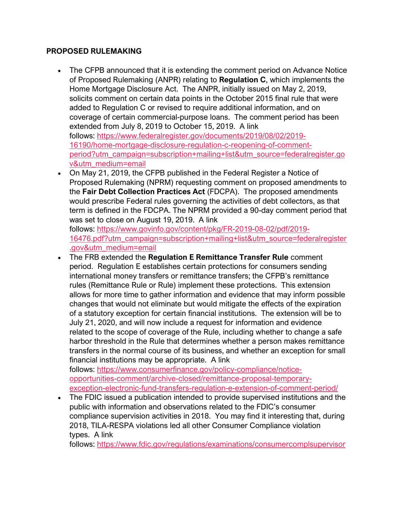# **PROPOSED RULEMAKING**

- The CFPB announced that it is extending the comment period on Advance Notice of Proposed Rulemaking (ANPR) relating to **Regulation C**, which implements the Home Mortgage Disclosure Act. The ANPR, initially issued on May 2, 2019, solicits comment on certain data points in the October 2015 final rule that were added to Regulation C or revised to require additional information, and on coverage of certain commercial-purpose loans. The comment period has been extended from July 8, 2019 to October 15, 2019. A link follows: [https://www.federalregister.gov/documents/2019/08/02/2019-](https://www.federalregister.gov/documents/2019/08/02/2019-16190/home-mortgage-disclosure-regulation-c-reopening-of-comment-period?utm_campaign=subscription+mailing+list&utm_source=federalregister.gov&utm_medium=email) [16190/home-mortgage-disclosure-regulation-c-reopening-of-comment](https://www.federalregister.gov/documents/2019/08/02/2019-16190/home-mortgage-disclosure-regulation-c-reopening-of-comment-period?utm_campaign=subscription+mailing+list&utm_source=federalregister.gov&utm_medium=email)[period?utm\\_campaign=subscription+mailing+list&utm\\_source=federalregister.go](https://www.federalregister.gov/documents/2019/08/02/2019-16190/home-mortgage-disclosure-regulation-c-reopening-of-comment-period?utm_campaign=subscription+mailing+list&utm_source=federalregister.gov&utm_medium=email) [v&utm\\_medium=email](https://www.federalregister.gov/documents/2019/08/02/2019-16190/home-mortgage-disclosure-regulation-c-reopening-of-comment-period?utm_campaign=subscription+mailing+list&utm_source=federalregister.gov&utm_medium=email)
- On May 21, 2019, the CFPB published in the Federal Register a Notice of Proposed Rulemaking (NPRM) requesting comment on proposed amendments to the **Fair Debt Collection Practices Act** (FDCPA). The proposed amendments would prescribe Federal rules governing the activities of debt collectors, as that term is defined in the FDCPA. The NPRM provided a 90-day comment period that was set to close on August 19, 2019. A link follows: [https://www.govinfo.gov/content/pkg/FR-2019-08-02/pdf/2019-](https://www.govinfo.gov/content/pkg/FR-2019-08-02/pdf/2019-16476.pdf?utm_campaign=subscription+mailing+list&utm_source=federalregister.gov&utm_medium=email)

[16476.pdf?utm\\_campaign=subscription+mailing+list&utm\\_source=federalregister](https://www.govinfo.gov/content/pkg/FR-2019-08-02/pdf/2019-16476.pdf?utm_campaign=subscription+mailing+list&utm_source=federalregister.gov&utm_medium=email) [.gov&utm\\_medium=email](https://www.govinfo.gov/content/pkg/FR-2019-08-02/pdf/2019-16476.pdf?utm_campaign=subscription+mailing+list&utm_source=federalregister.gov&utm_medium=email)

• The FRB extended the **Regulation E Remittance Transfer Rule** comment period. Regulation E establishes certain protections for consumers sending international money transfers or remittance transfers; the CFPB's remittance rules (Remittance Rule or Rule) implement these protections. This extension allows for more time to gather information and evidence that may inform possible changes that would not eliminate but would mitigate the effects of the expiration of a statutory exception for certain financial institutions. The extension will be to July 21, 2020, and will now include a request for information and evidence related to the scope of coverage of the Rule, including whether to change a safe harbor threshold in the Rule that determines whether a person makes remittance transfers in the normal course of its business, and whether an exception for small financial institutions may be appropriate. A link

follows: [https://www.consumerfinance.gov/policy-compliance/notice](https://www.consumerfinance.gov/policy-compliance/notice-opportunities-comment/archive-closed/remittance-proposal-temporary-exception-electronic-fund-transfers-regulation-e-extension-of-comment-period/)[opportunities-comment/archive-closed/remittance-proposal-temporary](https://www.consumerfinance.gov/policy-compliance/notice-opportunities-comment/archive-closed/remittance-proposal-temporary-exception-electronic-fund-transfers-regulation-e-extension-of-comment-period/)[exception-electronic-fund-transfers-regulation-e-extension-of-comment-period/](https://www.consumerfinance.gov/policy-compliance/notice-opportunities-comment/archive-closed/remittance-proposal-temporary-exception-electronic-fund-transfers-regulation-e-extension-of-comment-period/)

• The FDIC issued a publication intended to provide supervised institutions and the public with information and observations related to the FDIC's consumer compliance supervision activities in 2018. You may find it interesting that, during 2018, TILA-RESPA violations led all other Consumer Compliance violation types. A link

follows: [https://www.fdic.gov/regulations/examinations/consumercomplsupervisor](https://www.fdic.gov/regulations/examinations/consumercomplsupervisoryhighlights.pdf?source=govdelivery&utm_medium=email&utm_source=govdelivery)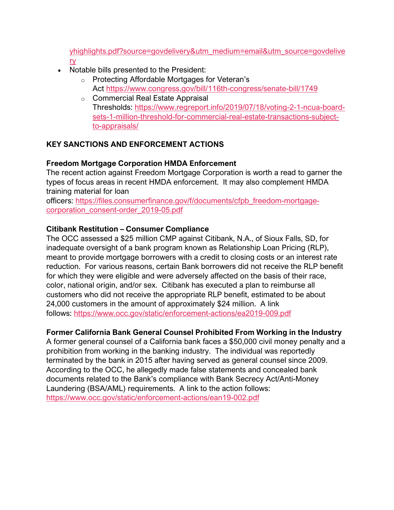[yhighlights.pdf?source=govdelivery&utm\\_medium=email&utm\\_source=govdelive](https://www.fdic.gov/regulations/examinations/consumercomplsupervisoryhighlights.pdf?source=govdelivery&utm_medium=email&utm_source=govdelivery) [ry](https://www.fdic.gov/regulations/examinations/consumercomplsupervisoryhighlights.pdf?source=govdelivery&utm_medium=email&utm_source=govdelivery)

- Notable bills presented to the President:
	- o Protecting Affordable Mortgages for Veteran's Act <https://www.congress.gov/bill/116th-congress/senate-bill/1749>
	- o Commercial Real Estate Appraisal Thresholds: [https://www.regreport.info/2019/07/18/voting-2-1-ncua-board](https://www.regreport.info/2019/07/18/voting-2-1-ncua-board-sets-1-million-threshold-for-commercial-real-estate-transactions-subject-to-appraisals/)[sets-1-million-threshold-for-commercial-real-estate-transactions-subject](https://www.regreport.info/2019/07/18/voting-2-1-ncua-board-sets-1-million-threshold-for-commercial-real-estate-transactions-subject-to-appraisals/)[to-appraisals/](https://www.regreport.info/2019/07/18/voting-2-1-ncua-board-sets-1-million-threshold-for-commercial-real-estate-transactions-subject-to-appraisals/)

# **KEY SANCTIONS AND ENFORCEMENT ACTIONS**

# **Freedom Mortgage Corporation HMDA Enforcement**

The recent action against Freedom Mortgage Corporation is worth a read to garner the types of focus areas in recent HMDA enforcement. It may also complement HMDA training material for loan

officers: [https://files.consumerfinance.gov/f/documents/cfpb\\_freedom-mortgage](https://files.consumerfinance.gov/f/documents/cfpb_freedom-mortgage-corporation_consent-order_2019-05.pdf)[corporation\\_consent-order\\_2019-05.pdf](https://files.consumerfinance.gov/f/documents/cfpb_freedom-mortgage-corporation_consent-order_2019-05.pdf)

## **Citibank Restitution – Consumer Compliance**

The OCC assessed a \$25 million CMP against Citibank, N.A., of Sioux Falls, SD, for inadequate oversight of a bank program known as Relationship Loan Pricing (RLP), meant to provide mortgage borrowers with a credit to closing costs or an interest rate reduction. For various reasons, certain Bank borrowers did not receive the RLP benefit for which they were eligible and were adversely affected on the basis of their race, color, national origin, and/or sex. Citibank has executed a plan to reimburse all customers who did not receive the appropriate RLP benefit, estimated to be about 24,000 customers in the amount of approximately \$24 million. A link follows: <https://www.occ.gov/static/enforcement-actions/ea2019-009.pdf>

# **Former California Bank General Counsel Prohibited From Working in the Industry**

A former general counsel of a California bank faces a \$50,000 civil money penalty and a prohibition from working in the banking industry. The individual was reportedly terminated by the bank in 2015 after having served as general counsel since 2009. According to the OCC, he allegedly made false statements and concealed bank documents related to the Bank's compliance with Bank Secrecy Act/Anti-Money Laundering (BSA/AML) requirements. A link to the action follows: <https://www.occ.gov/static/enforcement-actions/ean19-002.pdf>